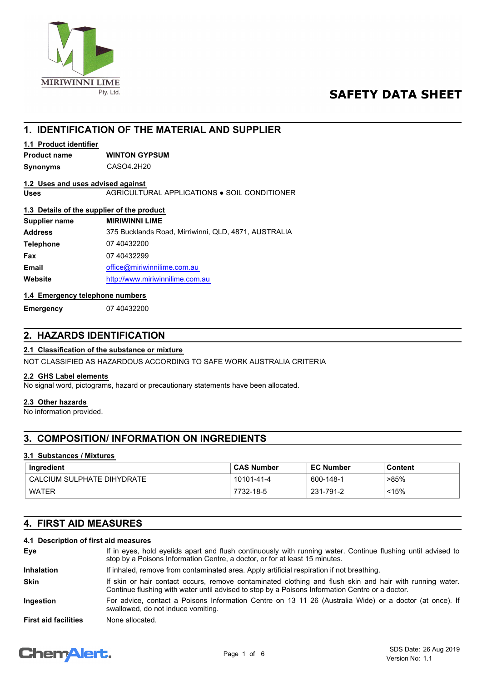

# **SAFETY DATA SHEET**

# **1. IDENTIFICATION OF THE MATERIAL AND SUPPLIER**

### **1.1 Product identifier**

**Product name WINTON GYPSUM**

### **Synonyms** CASO4.2H20

### **1.2 Uses and uses advised against**

**Uses** AGRICULTURAL APPLICATIONS ● SOIL CONDITIONER

### **1.3 Details of the supplier of the product**

| Supplier name    | <b>MIRIWINNI LIME</b>                                |
|------------------|------------------------------------------------------|
| <b>Address</b>   | 375 Bucklands Road, Mirriwinni, QLD, 4871, AUSTRALIA |
| <b>Telephone</b> | 07 40432200                                          |
| Fax              | 07 40432299                                          |
| <b>Email</b>     | office@miriwinnilime.com.au                          |
| Website          | http://www.miriwinnilime.com.au                      |
|                  |                                                      |

### **1.4 Emergency telephone numbers**

**Emergency** 07 40432200

### **2. HAZARDS IDENTIFICATION**

### **2.1 Classification of the substance or mixture**

NOT CLASSIFIED AS HAZARDOUS ACCORDING TO SAFE WORK AUSTRALIA CRITERIA

### **2.2 GHS Label elements**

No signal word, pictograms, hazard or precautionary statements have been allocated.

### **2.3 Other hazards**

No information provided.

# **3. COMPOSITION/ INFORMATION ON INGREDIENTS**

### **3.1 Substances / Mixtures**

| Ingredient                 | <b>CAS Number</b> | <b>EC Number</b> | Content |
|----------------------------|-------------------|------------------|---------|
| CALCIUM SULPHATE DIHYDRATE | 10101-41-4        | 600-148-1        | >85%    |
| <b>WATER</b>               | 7732-18-5         | 231-791-2        | < 15%   |

## **4. FIRST AID MEASURES**

### **4.1 Description of first aid measures**

| Eye                         | If in eyes, hold eyelids apart and flush continuously with running water. Continue flushing until advised to<br>stop by a Poisons Information Centre, a doctor, or for at least 15 minutes.                 |  |
|-----------------------------|-------------------------------------------------------------------------------------------------------------------------------------------------------------------------------------------------------------|--|
| <b>Inhalation</b>           | If inhaled, remove from contaminated area. Apply artificial respiration if not breathing.                                                                                                                   |  |
| <b>Skin</b>                 | If skin or hair contact occurs, remove contaminated clothing and flush skin and hair with running water.<br>Continue flushing with water until advised to stop by a Poisons Information Centre or a doctor. |  |
| Ingestion                   | For advice, contact a Poisons Information Centre on 13 11 26 (Australia Wide) or a doctor (at once). If<br>swallowed, do not induce vomiting.                                                               |  |
| <b>First aid facilities</b> | None allocated.                                                                                                                                                                                             |  |

# **ChemAlert.**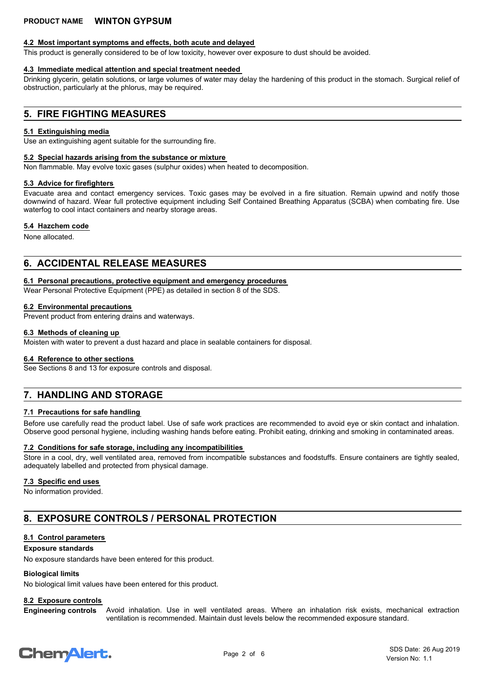### **4.2 Most important symptoms and effects, both acute and delayed**

This product is generally considered to be of low toxicity, however over exposure to dust should be avoided.

### **4.3 Immediate medical attention and special treatment needed**

Drinking glycerin, gelatin solutions, or large volumes of water may delay the hardening of this product in the stomach. Surgical relief of obstruction, particularly at the phlorus, may be required.

### **5. FIRE FIGHTING MEASURES**

### **5.1 Extinguishing media**

Use an extinguishing agent suitable for the surrounding fire.

### **5.2 Special hazards arising from the substance or mixture**

Non flammable. May evolve toxic gases (sulphur oxides) when heated to decomposition.

### **5.3 Advice for firefighters**

Evacuate area and contact emergency services. Toxic gases may be evolved in a fire situation. Remain upwind and notify those downwind of hazard. Wear full protective equipment including Self Contained Breathing Apparatus (SCBA) when combating fire. Use waterfog to cool intact containers and nearby storage areas.

### **5.4 Hazchem code**

None allocated.

## **6. ACCIDENTAL RELEASE MEASURES**

### **6.1 Personal precautions, protective equipment and emergency procedures**

Wear Personal Protective Equipment (PPE) as detailed in section 8 of the SDS.

### **6.2 Environmental precautions**

Prevent product from entering drains and waterways.

#### **6.3 Methods of cleaning up**

Moisten with water to prevent a dust hazard and place in sealable containers for disposal.

### **6.4 Reference to other sections**

See Sections 8 and 13 for exposure controls and disposal.

# **7. HANDLING AND STORAGE**

### **7.1 Precautions for safe handling**

Before use carefully read the product label. Use of safe work practices are recommended to avoid eye or skin contact and inhalation. Observe good personal hygiene, including washing hands before eating. Prohibit eating, drinking and smoking in contaminated areas.

### **7.2 Conditions for safe storage, including any incompatibilities**

Store in a cool, dry, well ventilated area, removed from incompatible substances and foodstuffs. Ensure containers are tightly sealed, adequately labelled and protected from physical damage.

### **7.3 Specific end uses**

No information provided.

## **8. EXPOSURE CONTROLS / PERSONAL PROTECTION**

### **8.1 Control parameters**

### **Exposure standards**

No exposure standards have been entered for this product.

### **Biological limits**

No biological limit values have been entered for this product.

### **8.2 Exposure controls**

Avoid inhalation. Use in well ventilated areas. Where an inhalation risk exists, mechanical extraction ventilation is recommended. Maintain dust levels below the recommended exposure standard. **Engineering controls**

# **ChemAlert.**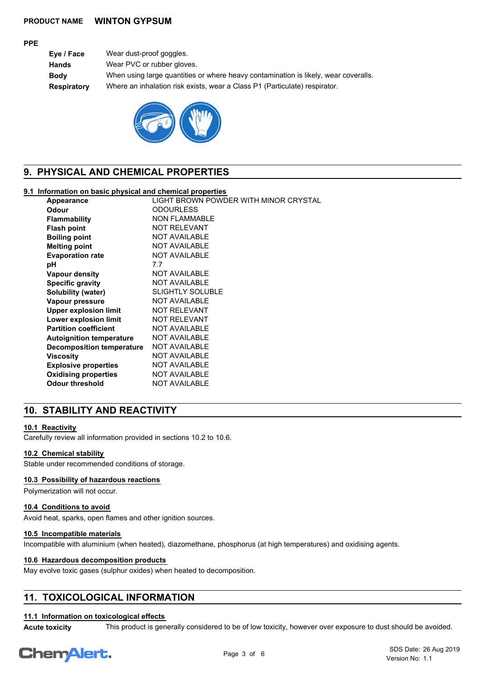### **PPE**

**Eye / Face** Wear dust-proof goggles. **Hands** Wear PVC or rubber gloves. **Body** When using large quantities or where heavy contamination is likely, wear coveralls. **Respiratory** Where an inhalation risk exists, wear a Class P1 (Particulate) respirator.



# **9. PHYSICAL AND CHEMICAL PROPERTIES**

# **9.1 Information on basic physical and chemical properties**

| Appearance                       | LIGHT BROWN POWDER WITH MINOR CRYSTAL |
|----------------------------------|---------------------------------------|
| <b>Odour</b>                     | <b>ODOURLESS</b>                      |
| <b>Flammability</b>              | <b>NON FLAMMABLE</b>                  |
| <b>Flash point</b>               | <b>NOT RELEVANT</b>                   |
| <b>Boiling point</b>             | <b>NOT AVAILABLE</b>                  |
| <b>Melting point</b>             | <b>NOT AVAILABLE</b>                  |
| <b>Evaporation rate</b>          | <b>NOT AVAILABLE</b>                  |
| рH                               | 7.7                                   |
| Vapour density                   | <b>NOT AVAILABLE</b>                  |
| <b>Specific gravity</b>          | <b>NOT AVAILABLE</b>                  |
| Solubility (water)               | <b>SLIGHTLY SOLUBLE</b>               |
| Vapour pressure                  | <b>NOT AVAILABLE</b>                  |
| <b>Upper explosion limit</b>     | <b>NOT RELEVANT</b>                   |
| Lower explosion limit            | <b>NOT RELEVANT</b>                   |
| <b>Partition coefficient</b>     | <b>NOT AVAILABLE</b>                  |
| <b>Autoignition temperature</b>  | <b>NOT AVAILABLE</b>                  |
| <b>Decomposition temperature</b> | <b>NOT AVAILABLE</b>                  |
| Viscosity                        | <b>NOT AVAILABLE</b>                  |
| <b>Explosive properties</b>      | <b>NOT AVAILABLE</b>                  |
| <b>Oxidising properties</b>      | <b>NOT AVAILABLE</b>                  |
| <b>Odour threshold</b>           | <b>NOT AVAILABLE</b>                  |
|                                  |                                       |

# **10. STABILITY AND REACTIVITY**

### **10.1 Reactivity**

Carefully review all information provided in sections 10.2 to 10.6.

### **10.2 Chemical stability**

Stable under recommended conditions of storage.

### **10.3 Possibility of hazardous reactions**

Polymerization will not occur.

### **10.4 Conditions to avoid**

Avoid heat, sparks, open flames and other ignition sources.

### **10.5 Incompatible materials**

Incompatible with aluminium (when heated), diazomethane, phosphorus (at high temperatures) and oxidising agents.

### **10.6 Hazardous decomposition products**

May evolve toxic gases (sulphur oxides) when heated to decomposition.

# **11. TOXICOLOGICAL INFORMATION**

## **11.1 Information on toxicological effects**

**Acute toxicity** This product is generally considered to be of low toxicity, however over exposure to dust should be avoided.

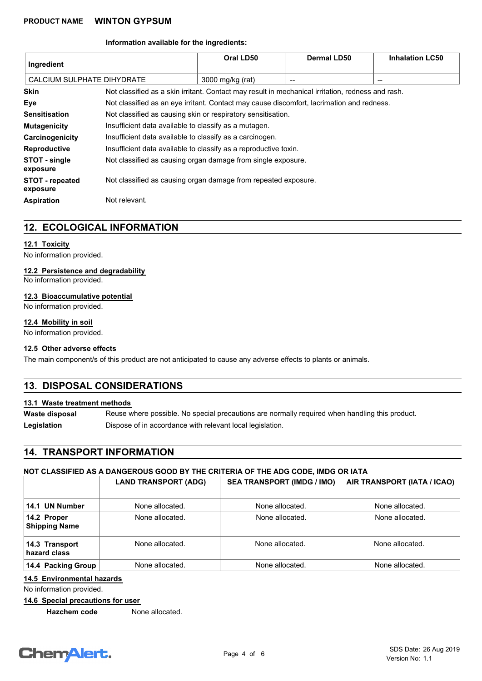#### **Information available for the ingredients:**

| Ingredient                         |                                                                                                   | Oral LD50        | Dermal LD50 | <b>Inhalation LC50</b>   |
|------------------------------------|---------------------------------------------------------------------------------------------------|------------------|-------------|--------------------------|
| CALCIUM SULPHATE DIHYDRATE         |                                                                                                   | 3000 mg/kg (rat) | --          | $\overline{\phantom{a}}$ |
| <b>Skin</b>                        | Not classified as a skin irritant. Contact may result in mechanical irritation, redness and rash. |                  |             |                          |
| Eye                                | Not classified as an eye irritant. Contact may cause discomfort, lacrimation and redness.         |                  |             |                          |
| <b>Sensitisation</b>               | Not classified as causing skin or respiratory sensitisation.                                      |                  |             |                          |
| <b>Mutagenicity</b>                | Insufficient data available to classify as a mutagen.                                             |                  |             |                          |
| Carcinogenicity                    | Insufficient data available to classify as a carcinogen.                                          |                  |             |                          |
| Reproductive                       | Insufficient data available to classify as a reproductive toxin.                                  |                  |             |                          |
| STOT - single<br>exposure          | Not classified as causing organ damage from single exposure.                                      |                  |             |                          |
| <b>STOT - repeated</b><br>exposure | Not classified as causing organ damage from repeated exposure.                                    |                  |             |                          |
| <b>Aspiration</b>                  | Not relevant.                                                                                     |                  |             |                          |

## **12. ECOLOGICAL INFORMATION**

### **12.1 Toxicity**

No information provided.

### **12.2 Persistence and degradability**

No information provided.

# **12.3 Bioaccumulative potential**

No information provided.

### **12.4 Mobility in soil**

No information provided.

### **12.5 Other adverse effects**

The main component/s of this product are not anticipated to cause any adverse effects to plants or animals.

# **13. DISPOSAL CONSIDERATIONS**

### **13.1 Waste treatment methods**

Reuse where possible. No special precautions are normally required when handling this product. **Waste disposal Legislation** Dispose of in accordance with relevant local legislation.

## **14. TRANSPORT INFORMATION**

### **NOT CLASSIFIED AS A DANGEROUS GOOD BY THE CRITERIA OF THE ADG CODE, IMDG OR IATA**

|                                     | <b>LAND TRANSPORT (ADG)</b> | <b>SEA TRANSPORT (IMDG / IMO)</b> | AIR TRANSPORT (IATA / ICAO) |
|-------------------------------------|-----------------------------|-----------------------------------|-----------------------------|
| 14.1 UN Number                      | None allocated.             | None allocated.                   | None allocated.             |
| 14.2 Proper<br><b>Shipping Name</b> | None allocated.             | None allocated.                   | None allocated.             |
| 14.3 Transport<br>hazard class      | None allocated.             | None allocated.                   | None allocated.             |
| 14.4 Packing Group                  | None allocated.             | None allocated.                   | None allocated.             |

### **14.5 Environmental hazards**

No information provided.

### **14.6 Special precautions for user**

**Hazchem code** None allocated.

# **ChemAlert.**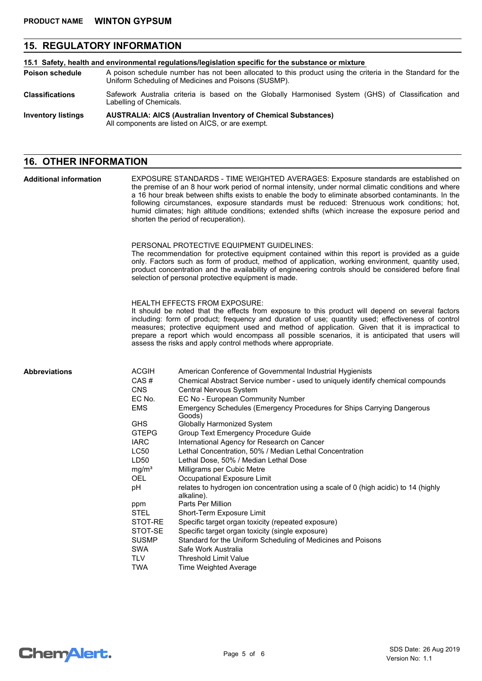# **15. REGULATORY INFORMATION**

| 15.1 Safety, health and environmental regulations/legislation specific for the substance or mixture |                                                                                                                                                                    |  |  |
|-----------------------------------------------------------------------------------------------------|--------------------------------------------------------------------------------------------------------------------------------------------------------------------|--|--|
| <b>Poison schedule</b>                                                                              | A poison schedule number has not been allocated to this product using the criteria in the Standard for the<br>Uniform Scheduling of Medicines and Poisons (SUSMP). |  |  |
| <b>Classifications</b>                                                                              | Safework Australia criteria is based on the Globally Harmonised System (GHS) of Classification and<br>Labelling of Chemicals.                                      |  |  |
| <b>Inventory listings</b>                                                                           | <b>AUSTRALIA: AICS (Australian Inventory of Chemical Substances)</b><br>All components are listed on AICS, or are exempt.                                          |  |  |

# **16. OTHER INFORMATION**

| <b>Additional information</b> | EXPOSURE STANDARDS - TIME WEIGHTED AVERAGES: Exposure standards are established on<br>the premise of an 8 hour work period of normal intensity, under normal climatic conditions and where<br>a 16 hour break between shifts exists to enable the body to eliminate absorbed contaminants. In the<br>following circumstances, exposure standards must be reduced: Strenuous work conditions; hot,<br>humid climates; high altitude conditions; extended shifts (which increase the exposure period and<br>shorten the period of recuperation).<br>PERSONAL PROTECTIVE EQUIPMENT GUIDELINES:<br>The recommendation for protective equipment contained within this report is provided as a guide<br>only. Factors such as form of product, method of application, working environment, quantity used,<br>product concentration and the availability of engineering controls should be considered before final<br>selection of personal protective equipment is made. |                                                                                                                                                                                                                                                                                                                                                                                                                                                                                                                                                                                                                                                                                                                                                                                                                                                                                                                                                                                                                |  |  |
|-------------------------------|--------------------------------------------------------------------------------------------------------------------------------------------------------------------------------------------------------------------------------------------------------------------------------------------------------------------------------------------------------------------------------------------------------------------------------------------------------------------------------------------------------------------------------------------------------------------------------------------------------------------------------------------------------------------------------------------------------------------------------------------------------------------------------------------------------------------------------------------------------------------------------------------------------------------------------------------------------------------|----------------------------------------------------------------------------------------------------------------------------------------------------------------------------------------------------------------------------------------------------------------------------------------------------------------------------------------------------------------------------------------------------------------------------------------------------------------------------------------------------------------------------------------------------------------------------------------------------------------------------------------------------------------------------------------------------------------------------------------------------------------------------------------------------------------------------------------------------------------------------------------------------------------------------------------------------------------------------------------------------------------|--|--|
|                               |                                                                                                                                                                                                                                                                                                                                                                                                                                                                                                                                                                                                                                                                                                                                                                                                                                                                                                                                                                    |                                                                                                                                                                                                                                                                                                                                                                                                                                                                                                                                                                                                                                                                                                                                                                                                                                                                                                                                                                                                                |  |  |
|                               |                                                                                                                                                                                                                                                                                                                                                                                                                                                                                                                                                                                                                                                                                                                                                                                                                                                                                                                                                                    | <b>HEALTH EFFECTS FROM EXPOSURE:</b><br>It should be noted that the effects from exposure to this product will depend on several factors<br>including: form of product; frequency and duration of use; quantity used; effectiveness of control<br>measures; protective equipment used and method of application. Given that it is impractical to<br>prepare a report which would encompass all possible scenarios, it is anticipated that users will<br>assess the risks and apply control methods where appropriate.                                                                                                                                                                                                                                                                                                                                                                                                                                                                                          |  |  |
| <b>Abbreviations</b>          | <b>ACGIH</b><br>CAS#<br><b>CNS</b><br>EC No.<br><b>EMS</b><br><b>GHS</b><br><b>GTEPG</b><br><b>IARC</b><br>LC50<br>LD50<br>mg/m <sup>3</sup><br>OEL<br>рH<br>ppm<br><b>STEL</b><br>STOT-RE<br>STOT-SE<br><b>SUSMP</b><br><b>SWA</b><br><b>TLV</b><br><b>TWA</b>                                                                                                                                                                                                                                                                                                                                                                                                                                                                                                                                                                                                                                                                                                    | American Conference of Governmental Industrial Hygienists<br>Chemical Abstract Service number - used to uniquely identify chemical compounds<br>Central Nervous System<br>EC No - European Community Number<br>Emergency Schedules (Emergency Procedures for Ships Carrying Dangerous<br>Goods)<br><b>Globally Harmonized System</b><br>Group Text Emergency Procedure Guide<br>International Agency for Research on Cancer<br>Lethal Concentration, 50% / Median Lethal Concentration<br>Lethal Dose, 50% / Median Lethal Dose<br>Milligrams per Cubic Metre<br>Occupational Exposure Limit<br>relates to hydrogen ion concentration using a scale of 0 (high acidic) to 14 (highly<br>alkaline).<br>Parts Per Million<br>Short-Term Exposure Limit<br>Specific target organ toxicity (repeated exposure)<br>Specific target organ toxicity (single exposure)<br>Standard for the Uniform Scheduling of Medicines and Poisons<br>Safe Work Australia<br><b>Threshold Limit Value</b><br>Time Weighted Average |  |  |